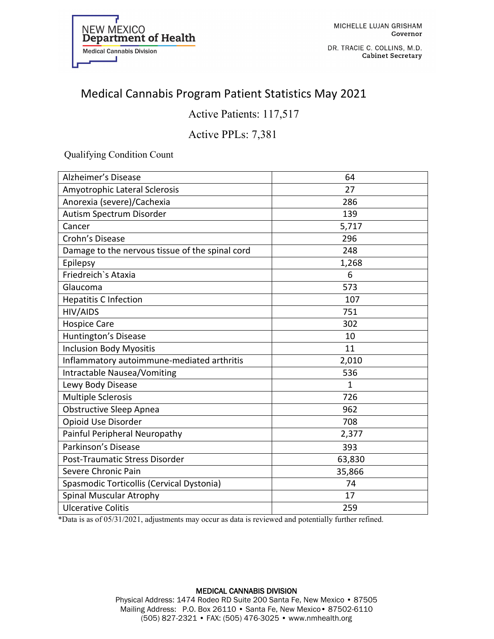

DR. TRACIE C. COLLINS, M.D. **Cabinet Secretary** 

# Medical Cannabis Program Patient Statistics May 2021

Active Patients: 117,517

### Active PPLs: 7,381

Qualifying Condition Count

| <b>Alzheimer's Disease</b>                      | 64           |
|-------------------------------------------------|--------------|
| Amyotrophic Lateral Sclerosis                   | 27           |
| Anorexia (severe)/Cachexia                      | 286          |
| Autism Spectrum Disorder                        | 139          |
| Cancer                                          | 5,717        |
| Crohn's Disease                                 | 296          |
| Damage to the nervous tissue of the spinal cord | 248          |
| Epilepsy                                        | 1,268        |
| Friedreich's Ataxia                             | 6            |
| Glaucoma                                        | 573          |
| <b>Hepatitis C Infection</b>                    | 107          |
| <b>HIV/AIDS</b>                                 | 751          |
| <b>Hospice Care</b>                             | 302          |
| Huntington's Disease                            | 10           |
| <b>Inclusion Body Myositis</b>                  | 11           |
| Inflammatory autoimmune-mediated arthritis      | 2,010        |
| <b>Intractable Nausea/Vomiting</b>              | 536          |
| Lewy Body Disease                               | $\mathbf{1}$ |
| <b>Multiple Sclerosis</b>                       | 726          |
| Obstructive Sleep Apnea                         | 962          |
| Opioid Use Disorder                             | 708          |
| Painful Peripheral Neuropathy                   | 2,377        |
| Parkinson's Disease                             | 393          |
| Post-Traumatic Stress Disorder                  | 63,830       |
| Severe Chronic Pain                             | 35,866       |
| Spasmodic Torticollis (Cervical Dystonia)       | 74           |
| Spinal Muscular Atrophy                         | 17           |
| <b>Ulcerative Colitis</b>                       | 259          |

\*Data is as of 05/31/2021, adjustments may occur as data is reviewed and potentially further refined.

#### MEDICAL CANNABIS DIVISION Physical Address: 1474 Rodeo RD Suite 200 Santa Fe, New Mexico • 87505 Mailing Address: P.O. Box 26110 • Santa Fe, New Mexico• 87502-6110 (505) 827-2321 • FAX: (505) 476-3025 • www.nmhealth.org